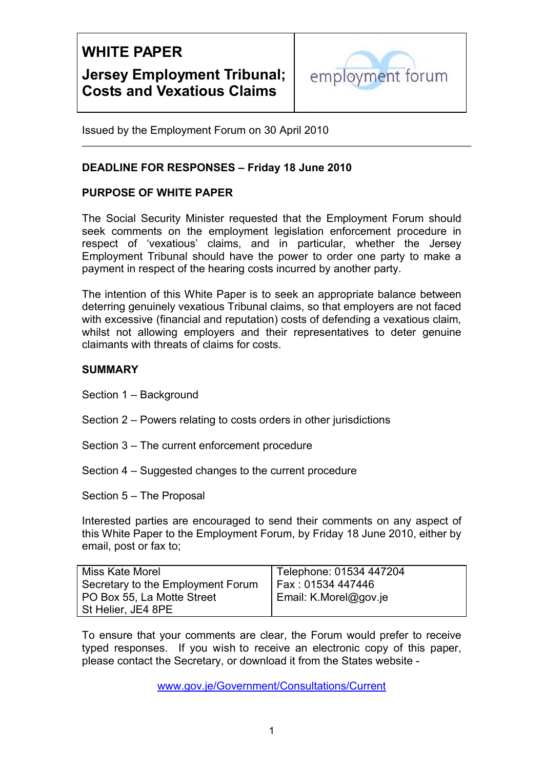

Issued by the Employment Forum on 30 April 2010

### **DEADLINE FOR RESPONSES – Friday 18 June 2010**

### **PURPOSE OF WHITE PAPER**

The Social Security Minister requested that the Employment Forum should seek comments on the employment legislation enforcement procedure in respect of 'vexatious' claims, and in particular, whether the Jersey Employment Tribunal should have the power to order one party to make a payment in respect of the hearing costs incurred by another party.

The intention of this White Paper is to seek an appropriate balance between deterring genuinely vexatious Tribunal claims, so that employers are not faced with excessive (financial and reputation) costs of defending a vexatious claim, whilst not allowing employers and their representatives to deter genuine claimants with threats of claims for costs.

### **SUMMARY**

Section 1 – Background

- Section 2 Powers relating to costs orders in other jurisdictions
- Section 3 The current enforcement procedure
- Section 4 Suggested changes to the current procedure

Section 5 – The Proposal

Interested parties are encouraged to send their comments on any aspect of this White Paper to the Employment Forum, by Friday 18 June 2010, either by email, post or fax to;

| Miss Kate Morel                   | Telephone: 01534 447204 |
|-----------------------------------|-------------------------|
| Secretary to the Employment Forum | Fax : 01534 447446      |
| PO Box 55, La Motte Street        | Email: K.Morel@gov.je   |
| St Helier, JE4 8PE                |                         |

To ensure that your comments are clear, the Forum would prefer to receive typed responses. If you wish to receive an electronic copy of this paper, please contact the Secretary, or download it from the States website -

www.gov.je/Government/Consultations/Current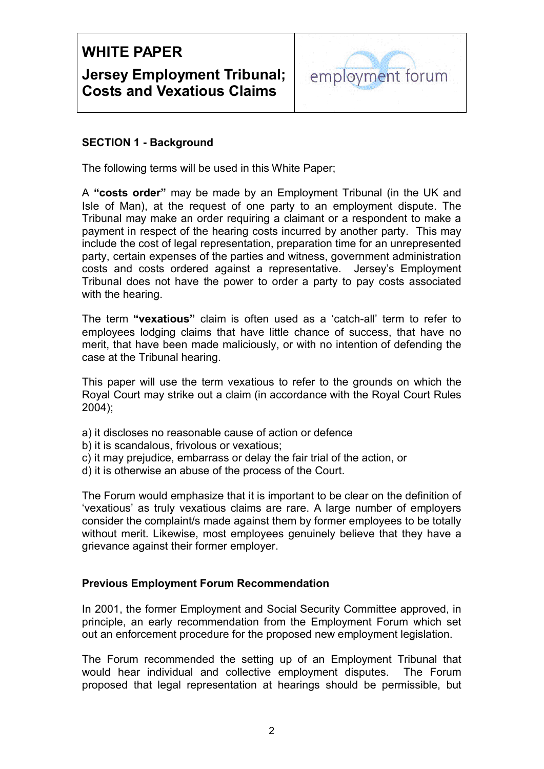

### **SECTION 1 - Background**

The following terms will be used in this White Paper;

 payment in respect of the hearing costs incurred by another party. This may costs and costs ordered against a representative. Jersey's Employment A **"costs order"** may be made by an Employment Tribunal (in the UK and Isle of Man), at the request of one party to an employment dispute. The Tribunal may make an order requiring a claimant or a respondent to make a include the cost of legal representation, preparation time for an unrepresented party, certain expenses of the parties and witness, government administration Tribunal does not have the power to order a party to pay costs associated with the hearing.

The term **"vexatious"** claim is often used as a 'catch-all' term to refer to employees lodging claims that have little chance of success, that have no merit, that have been made maliciously, or with no intention of defending the case at the Tribunal hearing.

This paper will use the term vexatious to refer to the grounds on which the Royal Court may strike out a claim (in accordance with the Royal Court Rules 2004);

- a) it discloses no reasonable cause of action or defence
- b) it is scandalous, frivolous or vexatious;
- c) it may prejudice, embarrass or delay the fair trial of the action, or �
- d) it is otherwise an abuse of the process of the Court.

The Forum would emphasize that it is important to be clear on the definition of 'vexatious' as truly vexatious claims are rare. A large number of employers consider the complaint/s made against them by former employees to be totally without merit. Likewise, most employees genuinely believe that they have a grievance against their former employer.

### **Previous Employment Forum Recommendation**

In 2001, the former Employment and Social Security Committee approved, in principle, an early recommendation from the Employment Forum which set out an enforcement procedure for the proposed new employment legislation.

The Forum recommended the setting up of an Employment Tribunal that would hear individual and collective employment disputes. The Forum proposed that legal representation at hearings should be permissible, but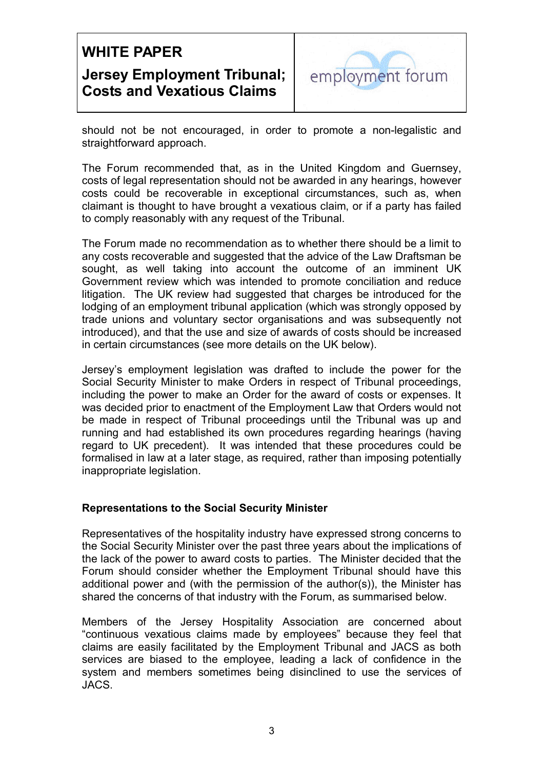

should not be not encouraged, in order to promote a non-legalistic and straightforward approach.

The Forum recommended that, as in the United Kingdom and Guernsey, costs of legal representation should not be awarded in any hearings, however costs could be recoverable in exceptional circumstances, such as, when claimant is thought to have brought a vexatious claim, or if a party has failed to comply reasonably with any request of the Tribunal.

The Forum made no recommendation as to whether there should be a limit to any costs recoverable and suggested that the advice of the Law Draftsman be sought, as well taking into account the outcome of an imminent UK Government review which was intended to promote conciliation and reduce litigation. The UK review had suggested that charges be introduced for the lodging of an employment tribunal application (which was strongly opposed by trade unions and voluntary sector organisations and was subsequently not introduced), and that the use and size of awards of costs should be increased in certain circumstances (see more details on the UK below).

Jersey's employment legislation was drafted to include the power for the Social Security Minister to make Orders in respect of Tribunal proceedings, including the power to make an Order for the award of costs or expenses. It was decided prior to enactment of the Employment Law that Orders would not be made in respect of Tribunal proceedings until the Tribunal was up and running and had established its own procedures regarding hearings (having regard to UK precedent). It was intended that these procedures could be formalised in law at a later stage, as required, rather than imposing potentially inappropriate legislation.

### **Representations to the Social Security Minister**

Representatives of the hospitality industry have expressed strong concerns to the Social Security Minister over the past three years about the implications of the lack of the power to award costs to parties. The Minister decided that the Forum should consider whether the Employment Tribunal should have this additional power and (with the permission of the author(s)), the Minister has shared the concerns of that industry with the Forum, as summarised below.

Members of the Jersey Hospitality Association are concerned about "continuous vexatious claims made by employees" because they feel that claims are easily facilitated by the Employment Tribunal and JACS as both services are biased to the employee, leading a lack of confidence in the system and members sometimes being disinclined to use the services of JACS.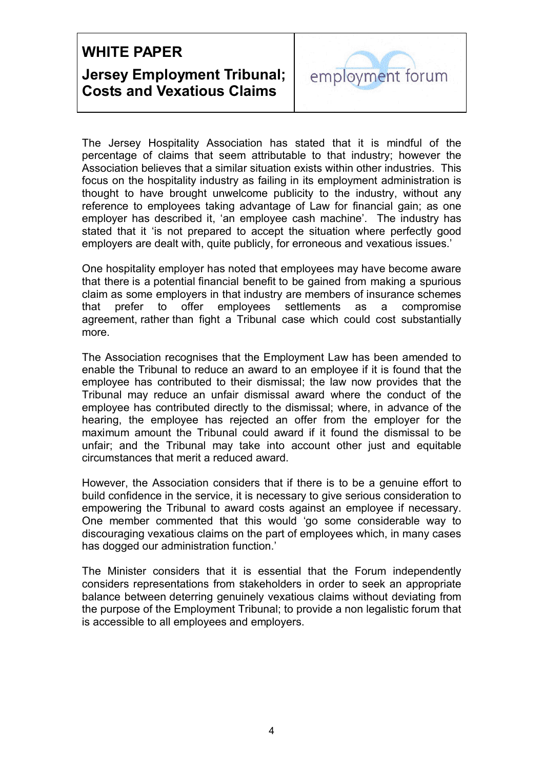

 Association believes that a similar situation exists within other industries. This The Jersey Hospitality Association has stated that it is mindful of the percentage of claims that seem attributable to that industry; however the focus on the hospitality industry as failing in its employment administration is thought to have brought unwelcome publicity to the industry, without any reference to employees taking advantage of Law for financial gain; as one employer has described it, 'an employee cash machine'. The industry has stated that it 'is not prepared to accept the situation where perfectly good employers are dealt with, quite publicly, for erroneous and vexatious issues.'

 more. One hospitality employer has noted that employees may have become aware that there is a potential financial benefit to be gained from making a spurious claim as some employers in that industry are members of insurance schemes that prefer to offer employees settlements as a compromise agreement, rather than fight a Tribunal case which could cost substantially

The Association recognises that the Employment Law has been amended to enable the Tribunal to reduce an award to an employee if it is found that the employee has contributed to their dismissal; the law now provides that the Tribunal may reduce an unfair dismissal award where the conduct of the employee has contributed directly to the dismissal; where, in advance of the hearing, the employee has rejected an offer from the employer for the maximum amount the Tribunal could award if it found the dismissal to be unfair; and the Tribunal may take into account other just and equitable circumstances that merit a reduced award.

has dogged our administration function.' However, the Association considers that if there is to be a genuine effort to build confidence in the service, it is necessary to give serious consideration to empowering the Tribunal to award costs against an employee if necessary. One member commented that this would 'go some considerable way to discouraging vexatious claims on the part of employees which, in many cases

The Minister considers that it is essential that the Forum independently considers representations from stakeholders in order to seek an appropriate balance between deterring genuinely vexatious claims without deviating from the purpose of the Employment Tribunal; to provide a non legalistic forum that is accessible to all employees and employers.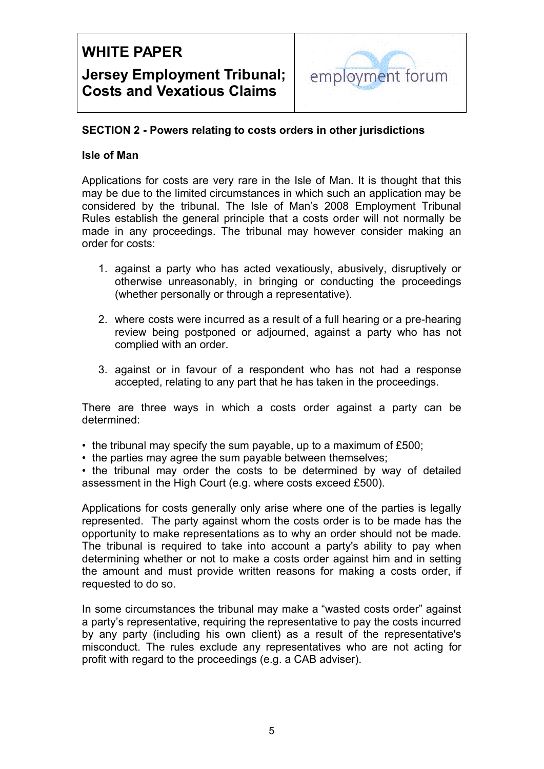

### **SECTION 2 - Powers relating to costs orders in other jurisdictions**

### **Isle of Man**

Applications for costs are very rare in the Isle of Man. It is thought that this may be due to the limited circumstances in which such an application may be considered by the tribunal. The Isle of Man's 2008 Employment Tribunal Rules establish the general principle that a costs order will not normally be made in any proceedings. The tribunal may however consider making an order for costs:

- 1. against a party who has acted vexatiously, abusively, disruptively or otherwise unreasonably, in bringing or conducting the proceedings (whether personally or through a representative).
- 2. where costs were incurred as a result of a full hearing or a pre-hearing review being postponed or adjourned, against a party who has not complied with an order.
- 3. against or in favour of a respondent who has not had a response accepted, relating to any part that he has taken in the proceedings.

There are three ways in which a costs order against a party can be determined:

- the tribunal may specify the sum payable, up to a maximum of £500;
- the parties may agree the sum payable between themselves;

• the tribunal may order the costs to be determined by way of detailed assessment in the High Court (e.g. where costs exceed £500).

opportunity to make representations as to why an order should not be made. Applications for costs generally only arise where one of the parties is legally represented. The party against whom the costs order is to be made has the The tribunal is required to take into account a party's ability to pay when determining whether or not to make a costs order against him and in setting the amount and must provide written reasons for making a costs order, if requested to do so.

In some circumstances the tribunal may make a "wasted costs order" against a party's representative, requiring the representative to pay the costs incurred by any party (including his own client) as a result of the representative's misconduct. The rules exclude any representatives who are not acting for profit with regard to the proceedings (e.g. a CAB adviser).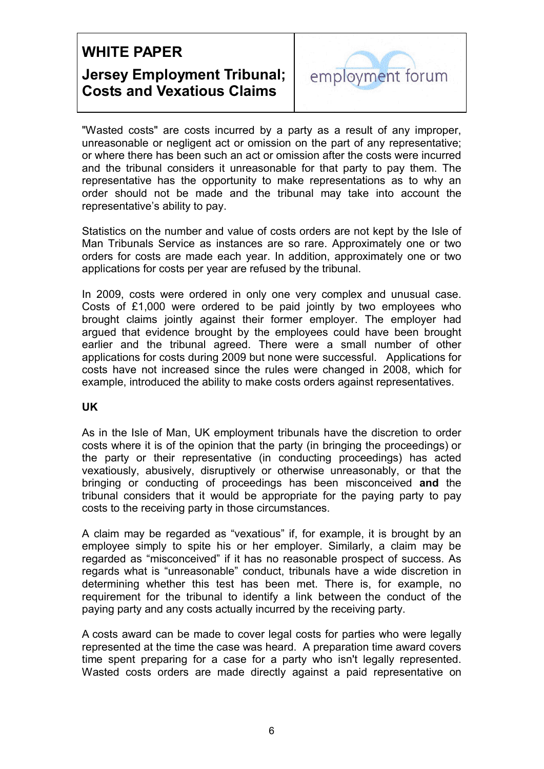

"Wasted costs" are costs incurred by a party as a result of any improper, unreasonable or negligent act or omission on the part of any representative; or where there has been such an act or omission after the costs were incurred and the tribunal considers it unreasonable for that party to pay them. The representative has the opportunity to make representations as to why an order should not be made and the tribunal may take into account the representative's ability to pay.

Statistics on the number and value of costs orders are not kept by the Isle of Man Tribunals Service as instances are so rare. Approximately one or two orders for costs are made each year. In addition, approximately one or two applications for costs per year are refused by the tribunal.

In 2009, costs were ordered in only one very complex and unusual case. Costs of £1,000 were ordered to be paid jointly by two employees who brought claims jointly against their former employer. The employer had argued that evidence brought by the employees could have been brought earlier and the tribunal agreed. There were a small number of other applications for costs during 2009 but none were successful. Applications for costs have not increased since the rules were changed in 2008, which for example, introduced the ability to make costs orders against representatives.

### **UK**

As in the Isle of Man, UK employment tribunals have the discretion to order costs where it is of the opinion that the party (in bringing the proceedings) or the party or their representative (in conducting proceedings) has acted vexatiously, abusively, disruptively or otherwise unreasonably, or that the bringing or conducting of proceedings has been misconceived **and** the tribunal considers that it would be appropriate for the paying party to pay costs to the receiving party in those circumstances.

A claim may be regarded as "vexatious" if, for example, it is brought by an employee simply to spite his or her employer. Similarly, a claim may be regarded as "misconceived" if it has no reasonable prospect of success. As regards what is "unreasonable" conduct, tribunals have a wide discretion in determining whether this test has been met. There is, for example, no requirement for the tribunal to identify a link between the conduct of the paying party and any costs actually incurred by the receiving party.

A costs award can be made to cover legal costs for parties who were legally represented at the time the case was heard. A preparation time award covers time spent preparing for a case for a party who isn't legally represented. Wasted costs orders are made directly against a paid representative on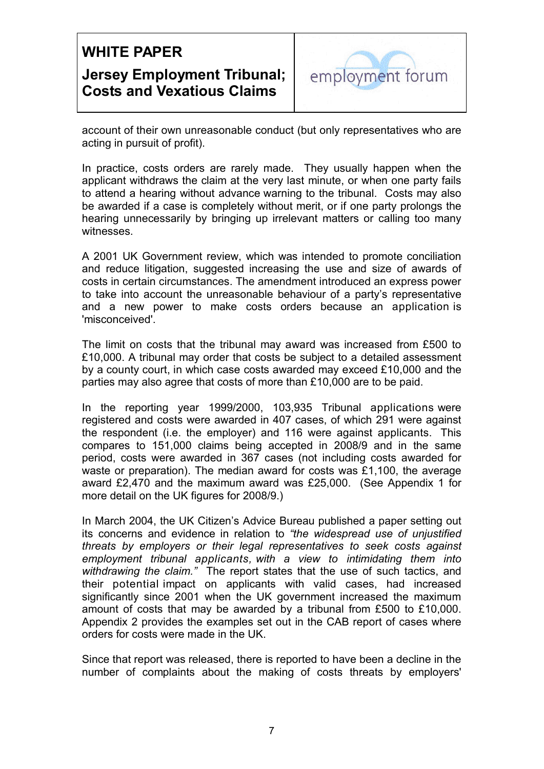

account of their own unreasonable conduct (but only representatives who are acting in pursuit of profit).

In practice, costs orders are rarely made. They usually happen when the applicant withdraws the claim at the very last minute, or when one party fails to attend a hearing without advance warning to the tribunal. Costs may also be awarded if a case is completely without merit, or if one party prolongs the hearing unnecessarily by bringing up irrelevant matters or calling too many witnesses.

A 2001 UK Government review, which was intended to promote conciliation and reduce litigation, suggested increasing the use and size of awards of costs in certain circumstances. The amendment introduced an express power to take into account the unreasonable behaviour of a party's representative and a new power to make costs orders because an application is 'misconceived'.

The limit on costs that the tribunal may award was increased from £500 to £10,000. A tribunal may order that costs be subject to a detailed assessment by a county court, in which case costs awarded may exceed £10,000 and the parties may also agree that costs of more than £10,000 are to be paid.

In the reporting year 1999/2000, 103,935 Tribunal applications were registered and costs were awarded in 407 cases, of which 291 were against the respondent (i.e. the employer) and 116 were against applicants. This compares to 151,000 claims being accepted in 2008/9 and in the same period, costs were awarded in 367 cases (not including costs awarded for waste or preparation). The median award for costs was £1,100, the average award £2,470 and the maximum award was £25,000. (See Appendix 1 for more detail on the UK figures for 2008/9.)

 *withdrawing the claim."* The report states that the use of such tactics, and In March 2004, the UK Citizen's Advice Bureau published a paper setting out its concerns and evidence in relation to *"the widespread use of unjustified threats by employers or their legal representatives to seek costs against employment tribunal applicants, with a view to intimidating them into*  their potential impact on applicants with valid cases, had increased significantly since 2001 when the UK government increased the maximum amount of costs that may be awarded by a tribunal from £500 to £10,000. Appendix 2 provides the examples set out in the CAB report of cases where orders for costs were made in the UK.

Since that report was released, there is reported to have been a decline in the number of complaints about the making of costs threats by employers'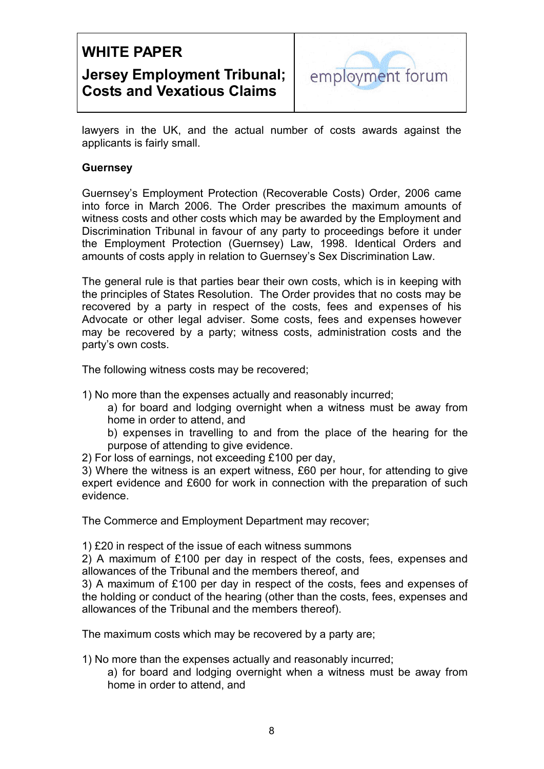

lawyers in the UK, and the actual number of costs awards against the applicants is fairly small.

### **Guernsey**

Guernsey's Employment Protection (Recoverable Costs) Order, 2006 came into force in March 2006. The Order prescribes the maximum amounts of witness costs and other costs which may be awarded by the Employment and Discrimination Tribunal in favour of any party to proceedings before it under the Employment Protection (Guernsey) Law, 1998. Identical Orders and amounts of costs apply in relation to Guernsey's Sex Discrimination Law.

The general rule is that parties bear their own costs, which is in keeping with the principles of States Resolution. The Order provides that no costs may be recovered by a party in respect of the costs, fees and expenses of his Advocate or other legal adviser. Some costs, fees and expenses however may be recovered by a party; witness costs, administration costs and the party's own costs.

The following witness costs may be recovered;

1) No more than the expenses actually and reasonably incurred;

a) for board and lodging overnight when a witness must be away from home in order to attend, and

b) expenses in travelling to and from the place of the hearing for the purpose of attending to give evidence.

2) For loss of earnings, not exceeding £100 per day,

3) Where the witness is an expert witness, £60 per hour, for attending to give expert evidence and £600 for work in connection with the preparation of such evidence.

The Commerce and Employment Department may recover;

1) £20 in respect of the issue of each witness summons �

2) A maximum of £100 per day in respect of the costs, fees, expenses and allowances of the Tribunal and the members thereof, and

3) A maximum of £100 per day in respect of the costs, fees and expenses of the holding or conduct of the hearing (other than the costs, fees, expenses and allowances of the Tribunal and the members thereof).

The maximum costs which may be recovered by a party are;

1) No more than the expenses actually and reasonably incurred;

a) for board and lodging overnight when a witness must be away from home in order to attend, and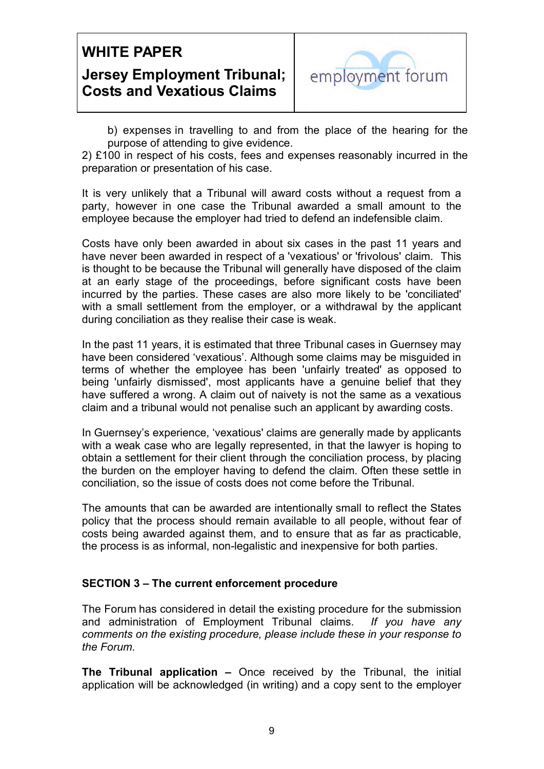

b) expenses in travelling to and from the place of the hearing for the purpose of attending to give evidence.

2) £100 in respect of his costs, fees and expenses reasonably incurred in the preparation or presentation of his case.

It is very unlikely that a Tribunal will award costs without a request from a party, however in one case the Tribunal awarded a small amount to the employee because the employer had tried to defend an indefensible claim.

Costs have only been awarded in about six cases in the past 11 years and have never been awarded in respect of a 'vexatious' or 'frivolous' claim. This is thought to be because the Tribunal will generally have disposed of the claim at an early stage of the proceedings, before significant costs have been incurred by the parties. These cases are also more likely to be 'conciliated' with a small settlement from the employer, or a withdrawal by the applicant during conciliation as they realise their case is weak.

In the past 11 years, it is estimated that three Tribunal cases in Guernsey may have been considered 'vexatious'. Although some claims may be misguided in terms of whether the employee has been 'unfairly treated' as opposed to being 'unfairly dismissed', most applicants have a genuine belief that they have suffered a wrong. A claim out of naivety is not the same as a vexatious claim and a tribunal would not penalise such an applicant by awarding costs.

In Guernsey's experience, 'vexatious' claims are generally made by applicants with a weak case who are legally represented, in that the lawyer is hoping to obtain a settlement for their client through the conciliation process, by placing the burden on the employer having to defend the claim. Often these settle in conciliation, so the issue of costs does not come before the Tribunal.

The amounts that can be awarded are intentionally small to reflect the States policy that the process should remain available to all people, without fear of costs being awarded against them, and to ensure that as far as practicable, the process is as informal, non-legalistic and inexpensive for both parties.

### **SECTION 3 – The current enforcement procedure**

The Forum has considered in detail the existing procedure for the submission and administration of Employment Tribunal claims. *If you have any comments on the existing procedure, please include these in your response to the Forum.* 

**The Tribunal application –** Once received by the Tribunal, the initial application will be acknowledged (in writing) and a copy sent to the employer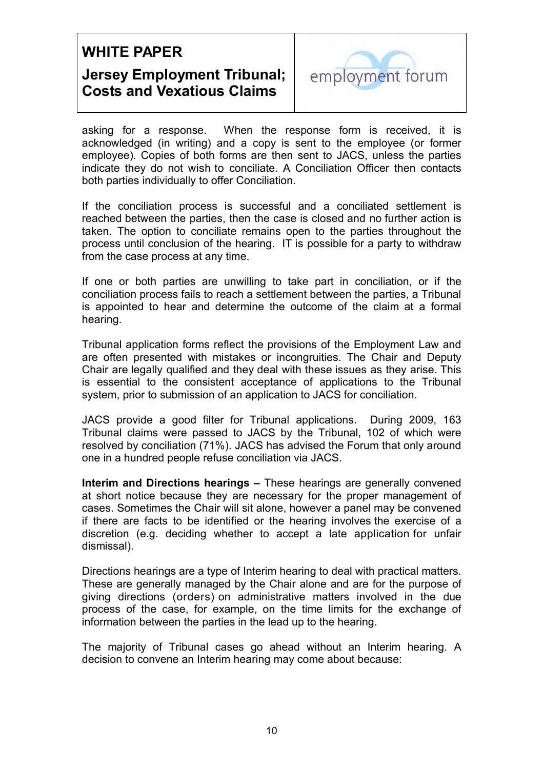

asking for a response. When the response form is received, it is acknowledged (in writing) and a copy is sent to the employee (or former employee). Copies of both forms are then sent to JACS, unless the parties indicate they do not wish to conciliate. A Conciliation Officer then contacts both parties individually to offer Conciliation.

 process until conclusion of the hearing. IT is possible for a party to withdraw If the conciliation process is successful and a conciliated settlement is reached between the parties, then the case is closed and no further action is taken. The option to conciliate remains open to the parties throughout the from the case process at any time.

If one or both parties are unwilling to take part in conciliation, or if the conciliation process fails to reach a settlement between the parties, a Tribunal is appointed to hear and determine the outcome of the claim at a formal hearing.

Tribunal application forms reflect the provisions of the Employment Law and are often presented with mistakes or incongruities. The Chair and Deputy Chair are legally qualified and they deal with these issues as they arise. This is essential to the consistent acceptance of applications to the Tribunal system, prior to submission of an application to JACS for conciliation.

JACS provide a good filter for Tribunal applications. During 2009, 163 Tribunal claims were passed to JACS by the Tribunal, 102 of which were resolved by conciliation (71%). JACS has advised the Forum that only around one in a hundred people refuse conciliation via JACS.

**Interim and Directions hearings –** These hearings are generally convened at short notice because they are necessary for the proper management of cases. Sometimes the Chair will sit alone, however a panel may be convened if there are facts to be identified or the hearing involves the exercise of a discretion (e.g. deciding whether to accept a late application for unfair dismissal).

Directions hearings are a type of Interim hearing to deal with practical matters. These are generally managed by the Chair alone and are for the purpose of giving directions (orders) on administrative matters involved in the due process of the case, for example, on the time limits for the exchange of information between the parties in the lead up to the hearing.

The majority of Tribunal cases go ahead without an Interim hearing. A decision to convene an Interim hearing may come about because: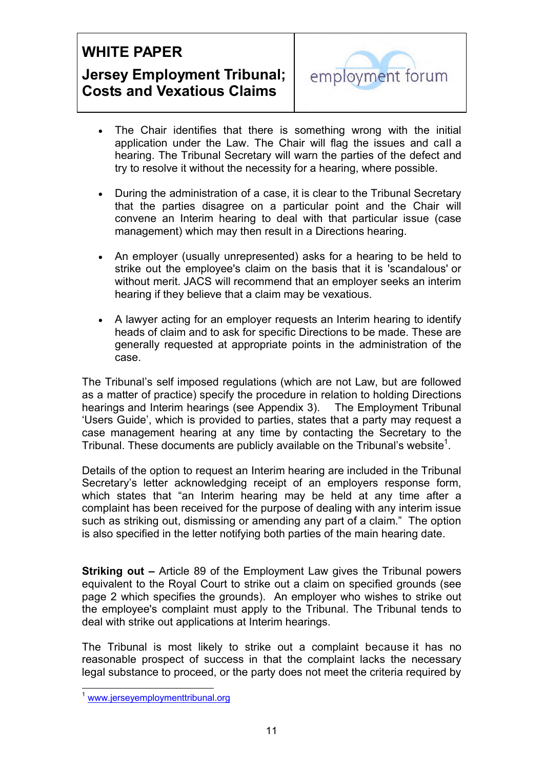

- The Chair identifies that there is something wrong with the initial application under the Law. The Chair will flag the issues and call a hearing. The Tribunal Secretary will warn the parties of the defect and try to resolve it without the necessity for a hearing, where possible.
- During the administration of a case, it is clear to the Tribunal Secretary that the parties disagree on a particular point and the Chair will convene an Interim hearing to deal with that particular issue (case management) which may then result in a Directions hearing.
- An employer (usually unrepresented) asks for a hearing to be held to strike out the employee's claim on the basis that it is 'scandalous' or without merit. JACS will recommend that an employer seeks an interim hearing if they believe that a claim may be vexatious.
- A lawyer acting for an employer requests an Interim hearing to identify heads of claim and to ask for specific Directions to be made. These are generally requested at appropriate points in the administration of the case.

 hearings and Interim hearings (see Appendix 3). The Employment Tribunal The Tribunal's self imposed regulations (which are not Law, but are followed as a matter of practice) specify the procedure in relation to holding Directions 'Users Guide', which is provided to parties, states that a party may request a case management hearing at any time by contacting the Secretary to the Tribunal. These documents are publicly available on the Tribunal's website<sup>1</sup>.

Details of the option to request an Interim hearing are included in the Tribunal Secretary's letter acknowledging receipt of an employers response form, which states that "an Interim hearing may be held at any time after a complaint has been received for the purpose of dealing with any interim issue such as striking out, dismissing or amending any part of a claim." The option is also specified in the letter notifying both parties of the main hearing date.

**Striking out –** Article 89 of the Employment Law gives the Tribunal powers equivalent to the Royal Court to strike out a claim on specified grounds (see page 2 which specifies the grounds). An employer who wishes to strike out the employee's complaint must apply to the Tribunal. The Tribunal tends to deal with strike out applications at Interim hearings.

The Tribunal is most likely to strike out a complaint because it has no reasonable prospect of success in that the complaint lacks the necessary legal substance to proceed, or the party does not meet the criteria required by

 $\overline{a}$ 

www.jerseyemploymenttribunal.org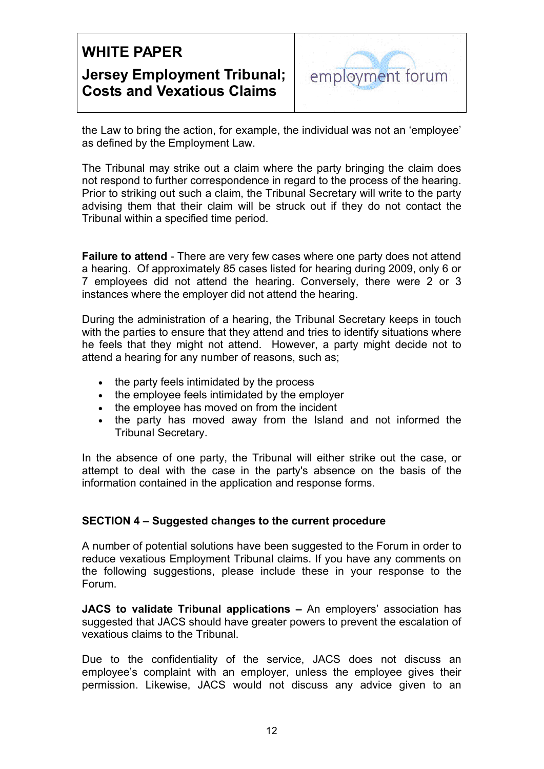

the Law to bring the action, for example, the individual was not an 'employee' as defined by the Employment Law.

The Tribunal may strike out a claim where the party bringing the claim does not respond to further correspondence in regard to the process of the hearing. Prior to striking out such a claim, the Tribunal Secretary will write to the party advising them that their claim will be struck out if they do not contact the Tribunal within a specified time period.

**Failure to attend** - There are very few cases where one party does not attend a hearing. Of approximately 85 cases listed for hearing during 2009, only 6 or 7 employees did not attend the hearing. Conversely, there were 2 or 3 instances where the employer did not attend the hearing.

During the administration of a hearing, the Tribunal Secretary keeps in touch with the parties to ensure that they attend and tries to identify situations where he feels that they might not attend. However, a party might decide not to attend a hearing for any number of reasons, such as;

- the party feels intimidated by the process
- the employee feels intimidated by the employer
- the employee has moved on from the incident
- the party has moved away from the Island and not informed the Tribunal Secretary.

In the absence of one party, the Tribunal will either strike out the case, or attempt to deal with the case in the party's absence on the basis of the information contained in the application and response forms.

### **SECTION 4 – Suggested changes to the current procedure**

A number of potential solutions have been suggested to the Forum in order to reduce vexatious Employment Tribunal claims. If you have any comments on the following suggestions, please include these in your response to the Forum.

**JACS to validate Tribunal applications –** An employers' association has suggested that JACS should have greater powers to prevent the escalation of vexatious claims to the Tribunal.

Due to the confidentiality of the service, JACS does not discuss an employee's complaint with an employer, unless the employee gives their permission. Likewise, JACS would not discuss any advice given to an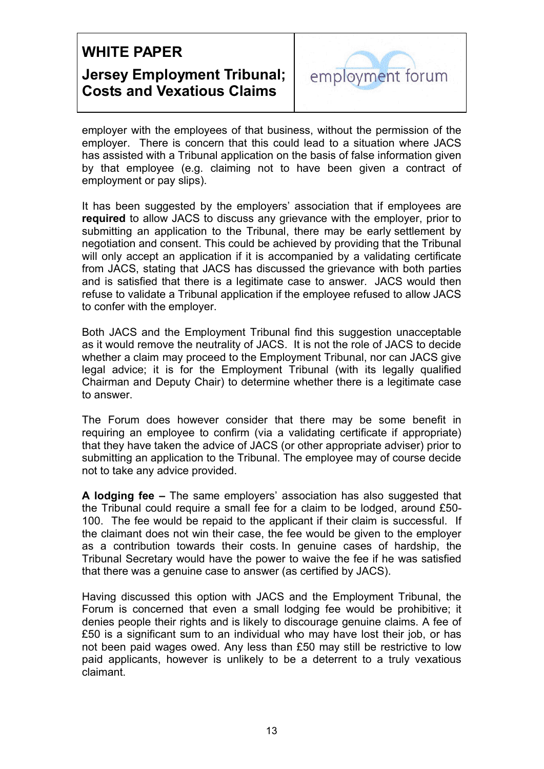

employer with the employees of that business, without the permission of the employer. There is concern that this could lead to a situation where JACS has assisted with a Tribunal application on the basis of false information given by that employee (e.g. claiming not to have been given a contract of employment or pay slips).

It has been suggested by the employers' association that if employees are **required** to allow JACS to discuss any grievance with the employer, prior to submitting an application to the Tribunal, there may be early settlement by negotiation and consent. This could be achieved by providing that the Tribunal will only accept an application if it is accompanied by a validating certificate from JACS, stating that JACS has discussed the grievance with both parties and is satisfied that there is a legitimate case to answer. JACS would then refuse to validate a Tribunal application if the employee refused to allow JACS to confer with the employer.

Both JACS and the Employment Tribunal find this suggestion unacceptable as it would remove the neutrality of JACS. It is not the role of JACS to decide whether a claim may proceed to the Employment Tribunal, nor can JACS give legal advice; it is for the Employment Tribunal (with its legally qualified Chairman and Deputy Chair) to determine whether there is a legitimate case to answer.

The Forum does however consider that there may be some benefit in requiring an employee to confirm (via a validating certificate if appropriate) that they have taken the advice of JACS (or other appropriate adviser) prior to submitting an application to the Tribunal. The employee may of course decide not to take any advice provided.

**A lodging fee –** The same employers' association has also suggested that the Tribunal could require a small fee for a claim to be lodged, around £50- 100. The fee would be repaid to the applicant if their claim is successful. If the claimant does not win their case, the fee would be given to the employer as a contribution towards their costs. In genuine cases of hardship, the Tribunal Secretary would have the power to waive the fee if he was satisfied that there was a genuine case to answer (as certified by JACS).

Having discussed this option with JACS and the Employment Tribunal, the Forum is concerned that even a small lodging fee would be prohibitive; it denies people their rights and is likely to discourage genuine claims. A fee of £50 is a significant sum to an individual who may have lost their job, or has not been paid wages owed. Any less than £50 may still be restrictive to low paid applicants, however is unlikely to be a deterrent to a truly vexatious claimant.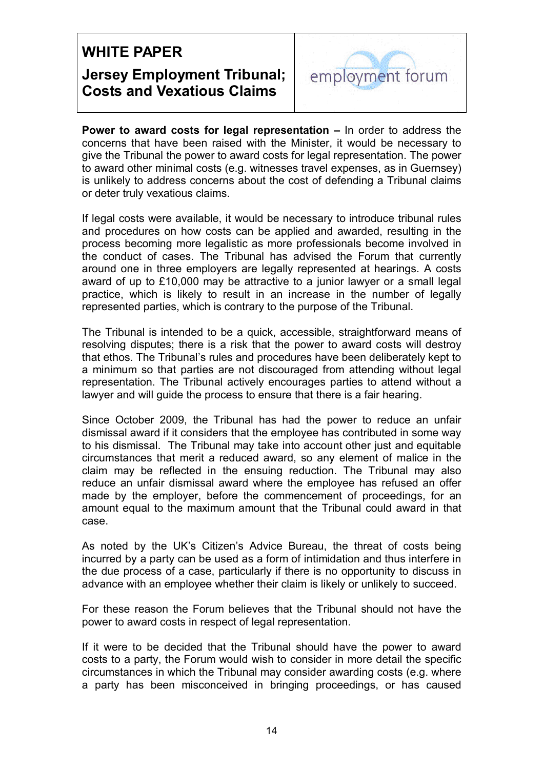

**Power to award costs for legal representation –** In order to address the concerns that have been raised with the Minister, it would be necessary to give the Tribunal the power to award costs for legal representation. The power to award other minimal costs (e.g. witnesses travel expenses, as in Guernsey) is unlikely to address concerns about the cost of defending a Tribunal claims or deter truly vexatious claims.

If legal costs were available, it would be necessary to introduce tribunal rules and procedures on how costs can be applied and awarded, resulting in the process becoming more legalistic as more professionals become involved in the conduct of cases. The Tribunal has advised the Forum that currently around one in three employers are legally represented at hearings. A costs award of up to £10,000 may be attractive to a junior lawyer or a small legal practice, which is likely to result in an increase in the number of legally represented parties, which is contrary to the purpose of the Tribunal.

The Tribunal is intended to be a quick, accessible, straightforward means of resolving disputes; there is a risk that the power to award costs will destroy that ethos. The Tribunal's rules and procedures have been deliberately kept to a minimum so that parties are not discouraged from attending without legal representation. The Tribunal actively encourages parties to attend without a lawyer and will guide the process to ensure that there is a fair hearing.

Since October 2009, the Tribunal has had the power to reduce an unfair dismissal award if it considers that the employee has contributed in some way to his dismissal. The Tribunal may take into account other just and equitable circumstances that merit a reduced award, so any element of malice in the claim may be reflected in the ensuing reduction. The Tribunal may also reduce an unfair dismissal award where the employee has refused an offer made by the employer, before the commencement of proceedings, for an amount equal to the maximum amount that the Tribunal could award in that case.

As noted by the UK's Citizen's Advice Bureau, the threat of costs being incurred by a party can be used as a form of intimidation and thus interfere in the due process of a case, particularly if there is no opportunity to discuss in advance with an employee whether their claim is likely or unlikely to succeed.

For these reason the Forum believes that the Tribunal should not have the power to award costs in respect of legal representation.

If it were to be decided that the Tribunal should have the power to award costs to a party, the Forum would wish to consider in more detail the specific circumstances in which the Tribunal may consider awarding costs (e.g. where a party has been misconceived in bringing proceedings, or has caused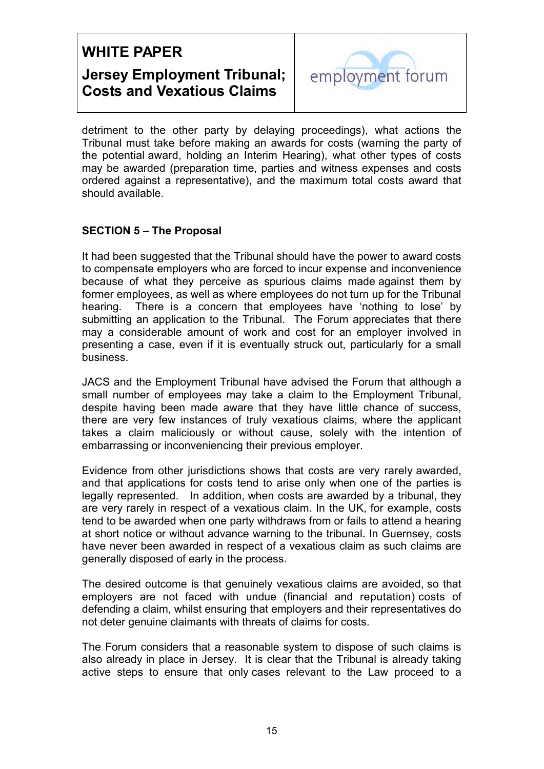

detriment to the other party by delaying proceedings), what actions the Tribunal must take before making an awards for costs (warning the party of the potential award, holding an Interim Hearing), what other types of costs may be awarded (preparation time, parties and witness expenses and costs ordered against a representative), and the maximum total costs award that should available.

### **SECTION 5 – The Proposal**

hearing. It had been suggested that the Tribunal should have the power to award costs to compensate employers who are forced to incur expense and inconvenience because of what they perceive as spurious claims made against them by former employees, as well as where employees do not turn up for the Tribunal There is a concern that employees have 'nothing to lose' by submitting an application to the Tribunal. The Forum appreciates that there may a considerable amount of work and cost for an employer involved in presenting a case, even if it is eventually struck out, particularly for a small business.

JACS and the Employment Tribunal have advised the Forum that although a small number of employees may take a claim to the Employment Tribunal, despite having been made aware that they have little chance of success, there are very few instances of truly vexatious claims, where the applicant takes a claim maliciously or without cause, solely with the intention of embarrassing or inconveniencing their previous employer.

 legally represented. In addition, when costs are awarded by a tribunal, they Evidence from other jurisdictions shows that costs are very rarely awarded, and that applications for costs tend to arise only when one of the parties is are very rarely in respect of a vexatious claim. In the UK, for example, costs tend to be awarded when one party withdraws from or fails to attend a hearing at short notice or without advance warning to the tribunal. In Guernsey, costs have never been awarded in respect of a vexatious claim as such claims are generally disposed of early in the process.

The desired outcome is that genuinely vexatious claims are avoided, so that employers are not faced with undue (financial and reputation) costs of defending a claim, whilst ensuring that employers and their representatives do not deter genuine claimants with threats of claims for costs.

The Forum considers that a reasonable system to dispose of such claims is also already in place in Jersey. It is clear that the Tribunal is already taking active steps to ensure that only cases relevant to the Law proceed to a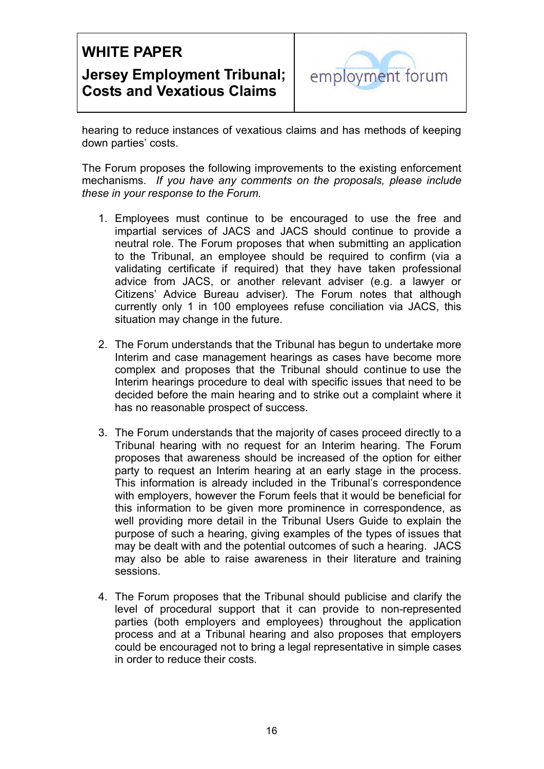

hearing to reduce instances of vexatious claims and has methods of keeping down parties' costs.

The Forum proposes the following improvements to the existing enforcement mechanisms. *If you have any comments on the proposals, please include these in your response to the Forum.* 

- 1. Employees must continue to be encouraged to use the free and impartial services of JACS and JACS should continue to provide a neutral role. The Forum proposes that when submitting an application to the Tribunal, an employee should be required to confirm (via a validating certificate if required) that they have taken professional advice from JACS, or another relevant adviser (e.g. a lawyer or Citizens' Advice Bureau adviser). The Forum notes that although currently only 1 in 100 employees refuse conciliation via JACS, this situation may change in the future.
- has no reasonable prospect of success. 2. The Forum understands that the Tribunal has begun to undertake more Interim and case management hearings as cases have become more complex and proposes that the Tribunal should continue to use the Interim hearings procedure to deal with specific issues that need to be decided before the main hearing and to strike out a complaint where it
- 3. The Forum understands that the majority of cases proceed directly to a Tribunal hearing with no request for an Interim hearing. The Forum proposes that awareness should be increased of the option for either party to request an Interim hearing at an early stage in the process. This information is already included in the Tribunal's correspondence with employers, however the Forum feels that it would be beneficial for this information to be given more prominence in correspondence, as well providing more detail in the Tribunal Users Guide to explain the purpose of such a hearing, giving examples of the types of issues that may be dealt with and the potential outcomes of such a hearing. JACS may also be able to raise awareness in their literature and training sessions.
- 4. The Forum proposes that the Tribunal should publicise and clarify the level of procedural support that it can provide to non-represented parties (both employers and employees) throughout the application process and at a Tribunal hearing and also proposes that employers could be encouraged not to bring a legal representative in simple cases in order to reduce their costs.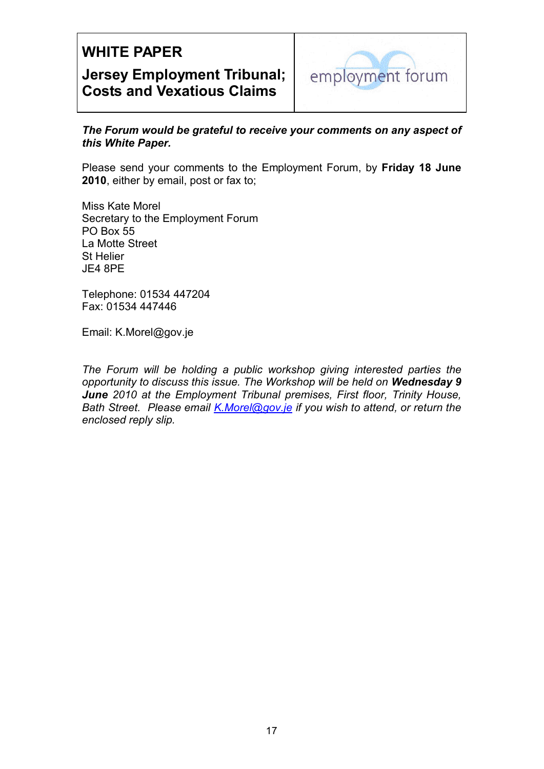

*The Forum would be grateful to receive your comments on any aspect of this White Paper.* 

Please send your comments to the Employment Forum, by **Friday 18 June 2010**, either by email, post or fax to;

Miss Kate Morel Secretary to the Employment Forum PO Box 55 La Motte Street St Helier JE4 8PE

Telephone: 01534 447204 Fax: 01534 447446

Email: K.Morel@gov.je

 *Bath Street. Please email K.Morel@gov.je if you wish to attend, or return the The Forum will be holding a public workshop giving interested parties the opportunity to discuss this issue. The Workshop will be held on Wednesday 9 June 2010 at the Employment Tribunal premises, First floor, Trinity House, enclosed reply slip.*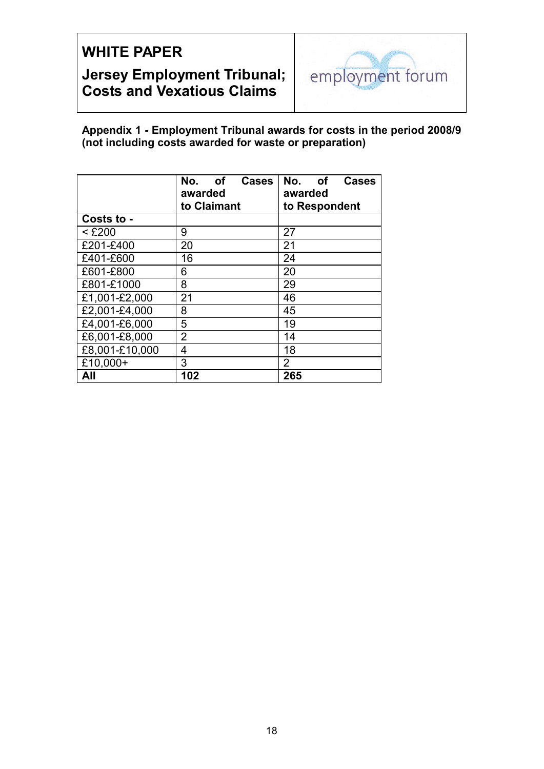

**Appendix 1 - Employment Tribunal awards for costs in the period 2008/9 (not including costs awarded for waste or preparation)** 

|                | <b>of</b><br>No.<br><b>Cases</b><br>awarded<br>to Claimant | No.<br>of<br><b>Cases</b><br>awarded<br>to Respondent |
|----------------|------------------------------------------------------------|-------------------------------------------------------|
| Costs to -     |                                                            |                                                       |
| $<$ £200       | 9                                                          | 27                                                    |
| £201-£400      | 20                                                         | 21                                                    |
| £401-£600      | 16                                                         | 24                                                    |
| £601-£800      | 6                                                          | 20                                                    |
| £801-£1000     | 8                                                          | 29                                                    |
| £1,001-£2,000  | 21                                                         | 46                                                    |
| £2,001-£4,000  | 8                                                          | 45                                                    |
| £4,001-£6,000  | 5                                                          | 19                                                    |
| £6,001-£8,000  | $\overline{2}$                                             | 14                                                    |
| £8,001-£10,000 | 4                                                          | 18                                                    |
| £10,000+       | 3                                                          | $\overline{2}$                                        |
| All            | 102                                                        | 265                                                   |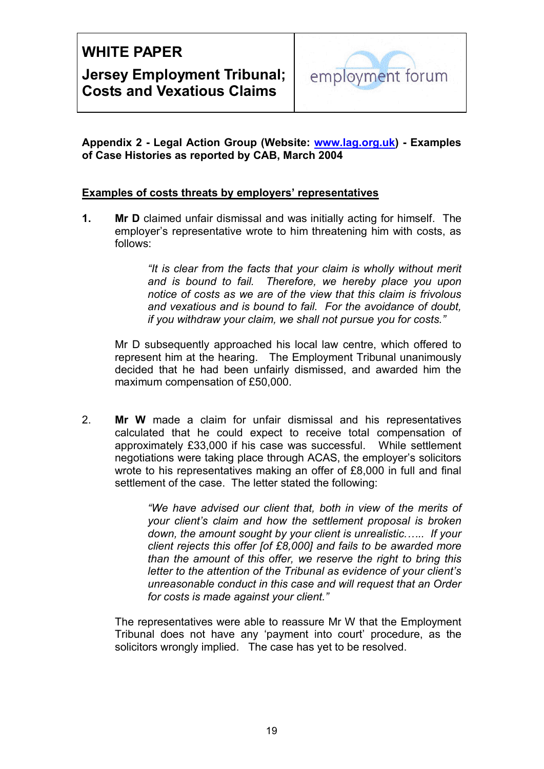

**Appendix 2 - Legal Action Group (Website: www.lag.org.uk) - Examples of Case Histories as reported by CAB, March 2004** 

### **Examples of costs threats by employers' representatives**

**1.** Mr **D** claimed unfair dismissal and was initially acting for himself. The employer's representative wrote to him threatening him with costs, as follows:

> *"It is clear from the facts that your claim is wholly without merit and is bound to fail. Therefore, we hereby place you upon notice of costs as we are of the view that this claim is frivolous and vexatious and is bound to fail. For the avoidance of doubt, if you withdraw your claim, we shall not pursue you for costs."*

Mr D subsequently approached his local law centre, which offered to represent him at the hearing. The Employment Tribunal unanimously decided that he had been unfairly dismissed, and awarded him the maximum compensation of £50,000.

2. **Mr W** made a claim for unfair dismissal and his representatives calculated that he could expect to receive total compensation of approximately £33,000 if his case was successful. While settlement negotiations were taking place through ACAS, the employer's solicitors wrote to his representatives making an offer of £8,000 in full and final settlement of the case. The letter stated the following:

> *"We have advised our client that, both in view of the merits of your client's claim and how the settlement proposal is broken down, the amount sought by your client is unrealistic.….. If your client rejects this offer [of £8,000] and fails to be awarded more than the amount of this offer, we reserve the right to bring this letter to the attention of the Tribunal as evidence of your client's unreasonable conduct in this case and will request that an Order for costs is made against your client."*

The representatives were able to reassure Mr W that the Employment Tribunal does not have any 'payment into court' procedure, as the solicitors wrongly implied. The case has yet to be resolved.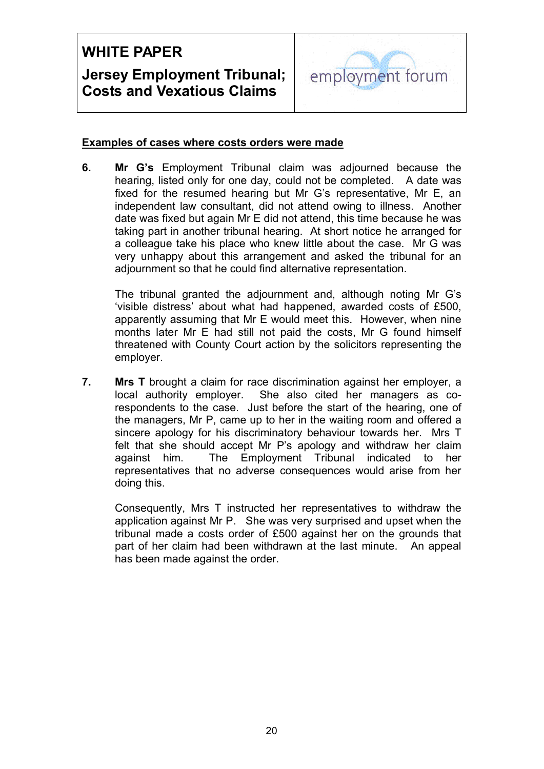

### **Examples of cases where costs orders were made**

**6.** � **Mr G's** Employment Tribunal claim was adjourned because the hearing, listed only for one day, could not be completed. A date was fixed for the resumed hearing but Mr G's representative, Mr E, an independent law consultant, did not attend owing to illness. Another date was fixed but again Mr E did not attend, this time because he was taking part in another tribunal hearing. At short notice he arranged for a colleague take his place who knew little about the case. Mr G was very unhappy about this arrangement and asked the tribunal for an adjournment so that he could find alternative representation.

The tribunal granted the adjournment and, although noting Mr G's 'visible distress' about what had happened, awarded costs of £500, apparently assuming that Mr E would meet this. However, when nine months later Mr E had still not paid the costs, Mr G found himself threatened with County Court action by the solicitors representing the employer.

**7.** Mrs T brought a claim for race discrimination against her employer, a local authority employer. She also cited her managers as corespondents to the case. Just before the start of the hearing, one of the managers, Mr P, came up to her in the waiting room and offered a sincere apology for his discriminatory behaviour towards her. Mrs T felt that she should accept Mr P's apology and withdraw her claim against him. The Employment Tribunal indicated to her representatives that no adverse consequences would arise from her doing this.

Consequently, Mrs T instructed her representatives to withdraw the application against Mr P. She was very surprised and upset when the tribunal made a costs order of £500 against her on the grounds that part of her claim had been withdrawn at the last minute. An appeal has been made against the order.